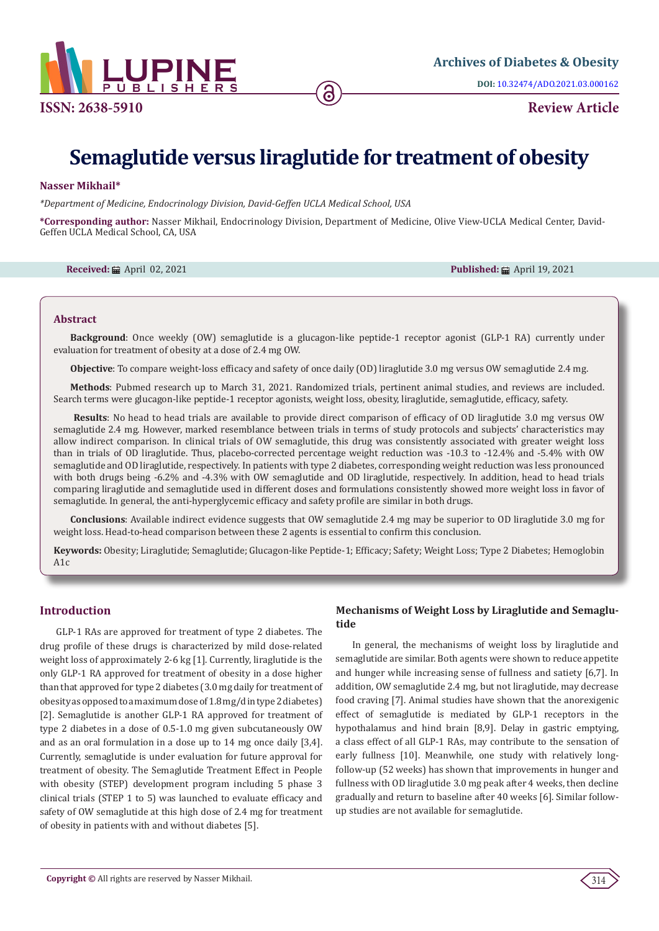

# **Semaglutide versus liraglutide for treatment of obesity**

# **Nasser Mikhail\***

*\*Department of Medicine, Endocrinology Division, David-Geffen UCLA Medical School, USA*

**\*Corresponding author:** Nasser Mikhail, Endocrinology Division, Department of Medicine, Olive View-UCLA Medical Center, David-Geffen UCLA Medical School, CA, USA

**Received:** April 02, 2021 **Published:** April 19, 2021

## **Abstract**

**Background**: Once weekly (OW) semaglutide is a glucagon-like peptide-1 receptor agonist (GLP-1 RA) currently under evaluation for treatment of obesity at a dose of 2.4 mg OW.

**Objective**: To compare weight-loss efficacy and safety of once daily (OD) liraglutide 3.0 mg versus OW semaglutide 2.4 mg.

**Methods**: Pubmed research up to March 31, 2021. Randomized trials, pertinent animal studies, and reviews are included. Search terms were glucagon-like peptide-1 receptor agonists, weight loss, obesity, liraglutide, semaglutide, efficacy, safety.

 **Results**: No head to head trials are available to provide direct comparison of efficacy of OD liraglutide 3.0 mg versus OW semaglutide 2.4 mg. However, marked resemblance between trials in terms of study protocols and subjects' characteristics may allow indirect comparison. In clinical trials of OW semaglutide, this drug was consistently associated with greater weight loss than in trials of OD liraglutide. Thus, placebo-corrected percentage weight reduction was -10.3 to -12.4% and -5.4% with OW semaglutide and OD liraglutide, respectively. In patients with type 2 diabetes, corresponding weight reduction was less pronounced with both drugs being -6.2% and -4.3% with OW semaglutide and OD liraglutide, respectively. In addition, head to head trials comparing liraglutide and semaglutide used in different doses and formulations consistently showed more weight loss in favor of semaglutide. In general, the anti-hyperglycemic efficacy and safety profile are similar in both drugs.

**Conclusions**: Available indirect evidence suggests that OW semaglutide 2.4 mg may be superior to OD liraglutide 3.0 mg for weight loss. Head-to-head comparison between these 2 agents is essential to confirm this conclusion.

**Keywords:** Obesity; Liraglutide; Semaglutide; Glucagon-like Peptide-1; Efficacy; Safety; Weight Loss; Type 2 Diabetes; Hemoglobin  $A1c$ 

## **Introduction**

GLP-1 RAs are approved for treatment of type 2 diabetes. The drug profile of these drugs is characterized by mild dose-related weight loss of approximately 2-6 kg [1]. Currently, liraglutide is the only GLP-1 RA approved for treatment of obesity in a dose higher than that approved for type 2 diabetes (3.0 mg daily for treatment of obesity as opposed to a maximum dose of 1.8 mg/d in type 2 diabetes) [2]. Semaglutide is another GLP-1 RA approved for treatment of type 2 diabetes in a dose of 0.5-1.0 mg given subcutaneously OW and as an oral formulation in a dose up to 14 mg once daily [3,4]. Currently, semaglutide is under evaluation for future approval for treatment of obesity. The Semaglutide Treatment Effect in People with obesity (STEP) development program including 5 phase 3 clinical trials (STEP 1 to 5) was launched to evaluate efficacy and safety of OW semaglutide at this high dose of 2.4 mg for treatment of obesity in patients with and without diabetes [5].

# **Mechanisms of Weight Loss by Liraglutide and Semaglutide**

In general, the mechanisms of weight loss by liraglutide and semaglutide are similar. Both agents were shown to reduce appetite and hunger while increasing sense of fullness and satiety [6,7]. In addition, OW semaglutide 2.4 mg, but not liraglutide, may decrease food craving [7]. Animal studies have shown that the anorexigenic effect of semaglutide is mediated by GLP-1 receptors in the hypothalamus and hind brain [8,9]. Delay in gastric emptying, a class effect of all GLP-1 RAs, may contribute to the sensation of early fullness [10]. Meanwhile, one study with relatively longfollow-up (52 weeks) has shown that improvements in hunger and fullness with OD liraglutide 3.0 mg peak after 4 weeks, then decline gradually and return to baseline after 40 weeks [6]. Similar followup studies are not available for semaglutide.

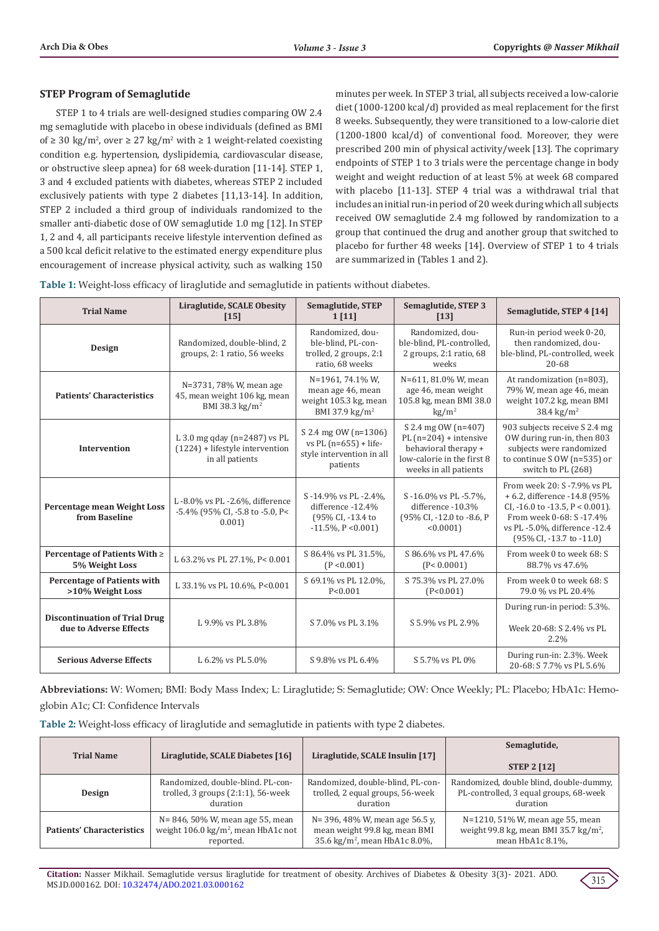# **STEP Program of Semaglutide**

STEP 1 to 4 trials are well-designed studies comparing OW 2.4 mg semaglutide with placebo in obese individuals (defined as BMI of ≥ 30 kg/m<sup>2</sup>, over ≥ 27 kg/m<sup>2</sup> with ≥ 1 weight-related coexisting condition e.g. hypertension, dyslipidemia, cardiovascular disease, or obstructive sleep apnea) for 68 week-duration [11-14]. STEP 1, 3 and 4 excluded patients with diabetes, whereas STEP 2 included exclusively patients with type 2 diabetes [11,13-14]. In addition, STEP 2 included a third group of individuals randomized to the smaller anti-diabetic dose of OW semaglutide 1.0 mg [12]. In STEP 1, 2 and 4, all participants receive lifestyle intervention defined as a 500 kcal deficit relative to the estimated energy expenditure plus encouragement of increase physical activity, such as walking 150

minutes per week. In STEP 3 trial, all subjects received a low-calorie diet (1000-1200 kcal/d) provided as meal replacement for the first 8 weeks. Subsequently, they were transitioned to a low-calorie diet (1200-1800 kcal/d) of conventional food. Moreover, they were prescribed 200 min of physical activity/week [13]. The coprimary endpoints of STEP 1 to 3 trials were the percentage change in body weight and weight reduction of at least 5% at week 68 compared with placebo [11-13]. STEP 4 trial was a withdrawal trial that includes an initial run-in period of 20 week during which all subjects received OW semaglutide 2.4 mg followed by randomization to a group that continued the drug and another group that switched to placebo for further 48 weeks [14]. Overview of STEP 1 to 4 trials are summarized in (Tables 1 and 2).

**Table 1:** Weight-loss efficacy of liraglutide and semaglutide in patients without diabetes.

| <b>Trial Name</b>                                              | Liraglutide, SCALE Obesity<br>$[15]$                                                     | Semaglutide, STEP<br>1[11]                                                                   | Semaglutide, STEP 3<br>[13]                                                                                                    | Semaglutide, STEP 4 [14]                                                                                                                                                                        |
|----------------------------------------------------------------|------------------------------------------------------------------------------------------|----------------------------------------------------------------------------------------------|--------------------------------------------------------------------------------------------------------------------------------|-------------------------------------------------------------------------------------------------------------------------------------------------------------------------------------------------|
| Design                                                         | Randomized, double-blind, 2<br>groups, 2: 1 ratio, 56 weeks                              | Randomized, dou-<br>ble-blind, PL-con-<br>trolled, 2 groups, 2:1<br>ratio, 68 weeks          | Randomized, dou-<br>ble-blind, PL-controlled,<br>2 groups, 2:1 ratio, 68<br>weeks                                              | Run-in period week 0-20,<br>then randomized, dou-<br>ble-blind, PL-controlled, week<br>20-68                                                                                                    |
| <b>Patients' Characteristics</b>                               | N=3731, 78% W, mean age<br>45, mean weight 106 kg, mean<br>BMI 38.3 kg/m <sup>2</sup>    | N=1961, 74.1% W,<br>mean age 46, mean<br>weight 105.3 kg, mean<br>BMI 37.9 kg/m <sup>2</sup> | N=611, 81.0% W, mean<br>age 46, mean weight<br>105.8 kg, mean BMI 38.0<br>$\text{kg}/\text{m}^2$                               | At randomization (n=803),<br>79% W, mean age 46, mean<br>weight 107.2 kg, mean BMI<br>38.4 kg/m <sup>2</sup>                                                                                    |
| Intervention                                                   | L 3.0 mg qday ( $n=2487$ ) vs PL<br>$(1224)$ + lifestyle intervention<br>in all patients | S 2.4 mg 0W (n=1306)<br>vs PL $(n=655) + life$ -<br>style intervention in all<br>patients    | S 2.4 mg OW (n=407)<br>PL $(n=204)$ + intensive<br>behavioral therapy +<br>low-calorie in the first 8<br>weeks in all patients | 903 subjects receive S 2.4 mg<br>OW during run-in, then 803<br>subjects were randomized<br>to continue S OW (n=535) or<br>switch to PL (268)                                                    |
| Percentage mean Weight Loss<br>from Baseline                   | L-8.0% vs PL-2.6%, difference<br>-5.4% (95% CI, -5.8 to -5.0, P<<br>0.001                | S-14.9% vs PL-2.4%,<br>difference -12.4%<br>(95% CI, -13.4 to<br>$-11.5\%$ , P < 0.001)      | S-16.0% vs PL-5.7%.<br>difference -10.3%<br>(95% CI, -12.0 to -8.6, P<br>< 0.0001                                              | From week 20: S - 7.9% vs PL<br>+ 6.2, difference -14.8 (95%<br>CI, $-16.0$ to $-13.5$ , $P < 0.001$ ).<br>From week 0-68: S-17.4%<br>vs PL -5.0%, difference -12.4<br>(95% CI, -13.7 to -11.0) |
| Percentage of Patients With ≥<br>5% Weight Loss                | L 63.2% vs PL 27.1%, P< 0.001                                                            | S 86.4% vs PL 31.5%.<br>(P < 0.001)                                                          | S 86.6% vs PL 47.6%<br>(P < 0.0001)                                                                                            | From week 0 to week 68: S<br>88.7% vs 47.6%                                                                                                                                                     |
| <b>Percentage of Patients with</b><br>>10% Weight Loss         | L 33.1% vs PL 10.6%, P<0.001                                                             | S 69.1% vs PL 12.0%.<br>P < 0.001                                                            | S 75.3% vs PL 27.0%<br>(P<0.001)                                                                                               | From week 0 to week 68: S<br>79.0 % vs PL 20.4%                                                                                                                                                 |
| <b>Discontinuation of Trial Drug</b><br>due to Adverse Effects | L 9.9% vs PL 3.8%                                                                        | S 7.0% vs PL 3.1%                                                                            | S 5.9% vs PL 2.9%                                                                                                              | During run-in period: 5.3%.<br>Week 20-68: S 2.4% vs PL<br>2.2%                                                                                                                                 |
| <b>Serious Adverse Effects</b>                                 | L 6.2% vs PL 5.0%                                                                        | S 9.8% vs PL 6.4%                                                                            | S 5.7% vs PL 0%                                                                                                                | During run-in: 2.3%. Week<br>20-68: S 7.7% vs PL 5.6%                                                                                                                                           |

**Abbreviations:** W: Women; BMI: Body Mass Index; L: Liraglutide; S: Semaglutide; OW: Once Weekly; PL: Placebo; HbA1c: Hemoglobin A1c; CI: Confidence Intervals

**Table 2:** Weight-loss efficacy of liraglutide and semaglutide in patients with type 2 diabetes.

| <b>Trial Name</b>                | Liraglutide, SCALE Diabetes [16]               | Liraglutide, SCALE Insulin [17]           | Semaglutide,<br><b>STEP 2 [12]</b>                |
|----------------------------------|------------------------------------------------|-------------------------------------------|---------------------------------------------------|
| Design                           | Randomized, double-blind. PL-con-              | Randomized, double-blind, PL-con-         | Randomized, double blind, double-dummy,           |
|                                  | trolled, $3$ groups $(2:1:1)$ , $56$ -week     | trolled, 2 equal groups, 56-week          | PL-controlled, 3 equal groups, 68-week            |
|                                  | duration                                       | duration                                  | duration                                          |
| <b>Patients' Characteristics</b> | N= 846, 50% W, mean age 55, mean               | $N = 396, 48\%$ W, mean age 56.5 y,       | N=1210, 51% W, mean age 55, mean                  |
|                                  | weight $106.0 \text{ kg/m}^2$ , mean HbA1c not | mean weight 99.8 kg, mean BMI             | weight 99.8 kg, mean BMI 35.7 kg/m <sup>2</sup> , |
|                                  | reported.                                      | 35.6 kg/m <sup>2</sup> , mean HbA1c 8.0%, | mean HbA1c 8.1%.                                  |

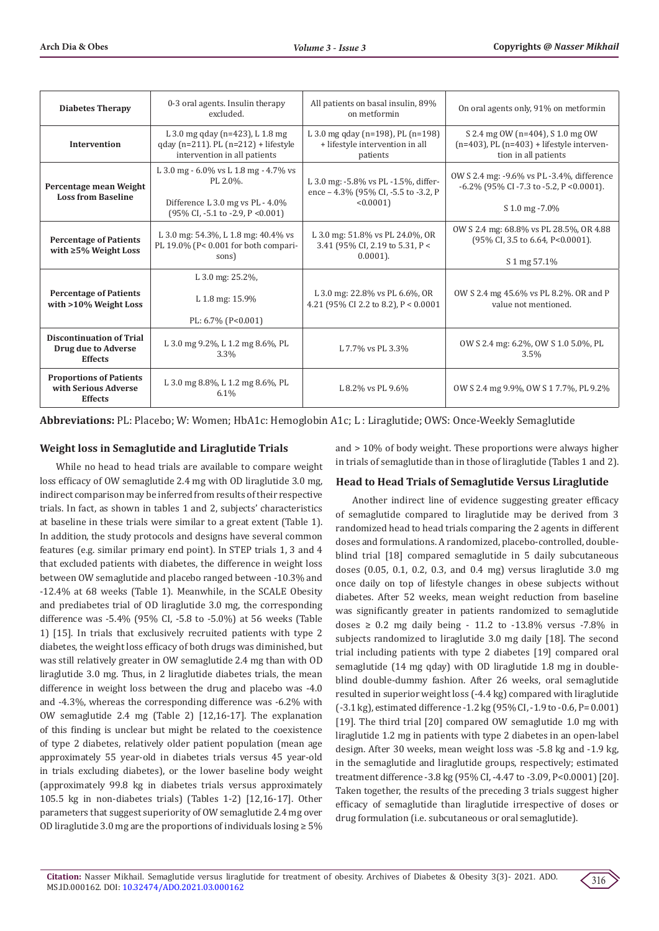| <b>Diabetes Therapy</b>                                                  | 0-3 oral agents. Insulin therapy<br>excluded.                                                                                                          | All patients on basal insulin, 89%<br>on metformin                                       | On oral agents only, 91% on metformin                                                                                |
|--------------------------------------------------------------------------|--------------------------------------------------------------------------------------------------------------------------------------------------------|------------------------------------------------------------------------------------------|----------------------------------------------------------------------------------------------------------------------|
| <b>Intervention</b>                                                      | L 3.0 mg qday (n=423), L 1.8 mg<br>qday (n=211). PL (n=212) + lifestyle<br>intervention in all patients                                                | L 3.0 mg qday (n=198), PL (n=198)<br>+ lifestyle intervention in all<br>patients         | S 2.4 mg 0W (n=404), S 1.0 mg 0W<br>$(n=403)$ , PL $(n=403)$ + lifestyle interven-<br>tion in all patients           |
| Percentage mean Weight<br><b>Loss from Baseline</b>                      | L 3.0 mg - 6.0% vs L 1.8 mg - 4.7% vs<br>PL 2.0%.<br>Difference L 3.0 mg vs PL - 4.0%<br>$(95\% \text{ CI}, -5.1 \text{ to } -2.9, \text{ P} < 0.001)$ | L 3.0 mg: -5.8% vs PL -1.5%, differ-<br>ence - 4.3% (95% CI, -5.5 to -3.2, P<br>< 0.0001 | OW S 2.4 mg: -9.6% vs PL -3.4%, difference<br>$-6.2\%$ (95% CI $-7.3$ to $-5.2$ , P $< 0.0001$ ).<br>S 1.0 mg - 7.0% |
| <b>Percentage of Patients</b><br>with $\geq 5\%$ Weight Loss             | L 3.0 mg: 54.3%, L 1.8 mg: 40.4% vs<br>PL 19.0% ( $P < 0.001$ for both compari-<br>sons)                                                               | L 3.0 mg: 51.8% vs PL 24.0%, OR<br>3.41 (95% CI, 2.19 to 5.31, P <<br>$0.0001$ ).        | OW S 2.4 mg: 68.8% vs PL 28.5%, OR 4.88<br>(95% CI, 3.5 to 6.64, P<0.0001).<br>S 1 mg 57.1%                          |
| <b>Percentage of Patients</b><br>with >10% Weight Loss                   | L 3.0 mg: 25.2%,<br>L 1.8 mg: 15.9%<br>PL: 6.7% (P<0.001)                                                                                              | L 3.0 mg: 22.8% vs PL 6.6%, OR<br>4.21 (95% CI 2.2 to 8.2), $P < 0.0001$                 | OW S 2.4 mg 45.6% vs PL 8.2%. OR and P<br>value not mentioned.                                                       |
| <b>Discontinuation of Trial</b><br>Drug due to Adverse<br><b>Effects</b> | L 3.0 mg 9.2%, L 1.2 mg 8.6%, PL<br>3.3%                                                                                                               | L 7.7% vs PL 3.3%                                                                        | OW S 2.4 mg: 6.2%, OW S 1.0 5.0%, PL<br>3.5%                                                                         |
| <b>Proportions of Patients</b><br>with Serious Adverse<br><b>Effects</b> | L 3.0 mg 8.8%, L 1.2 mg 8.6%, PL<br>6.1%                                                                                                               | L 8.2% vs PL 9.6%                                                                        | OW S 2.4 mg 9.9%, OW S 1 7.7%, PL 9.2%                                                                               |

**Abbreviations:** PL: Placebo; W: Women; HbA1c: Hemoglobin A1c; L : Liraglutide; OWS: Once-Weekly Semaglutide

# **Weight loss in Semaglutide and Liraglutide Trials**

While no head to head trials are available to compare weight loss efficacy of OW semaglutide 2.4 mg with OD liraglutide 3.0 mg, indirect comparison may be inferred from results of their respective trials. In fact, as shown in tables 1 and 2, subjects' characteristics at baseline in these trials were similar to a great extent (Table 1). In addition, the study protocols and designs have several common features (e.g. similar primary end point). In STEP trials 1, 3 and 4 that excluded patients with diabetes, the difference in weight loss between OW semaglutide and placebo ranged between -10.3% and -12.4% at 68 weeks (Table 1). Meanwhile, in the SCALE Obesity and prediabetes trial of OD liraglutide 3.0 mg, the corresponding difference was -5.4% (95% CI, -5.8 to -5.0%) at 56 weeks (Table 1) [15]. In trials that exclusively recruited patients with type 2 diabetes, the weight loss efficacy of both drugs was diminished, but was still relatively greater in OW semaglutide 2.4 mg than with OD liraglutide 3.0 mg. Thus, in 2 liraglutide diabetes trials, the mean difference in weight loss between the drug and placebo was -4.0 and -4.3%, whereas the corresponding difference was -6.2% with OW semaglutide 2.4 mg (Table 2) [12,16-17]. The explanation of this finding is unclear but might be related to the coexistence of type 2 diabetes, relatively older patient population (mean age approximately 55 year-old in diabetes trials versus 45 year-old in trials excluding diabetes), or the lower baseline body weight (approximately 99.8 kg in diabetes trials versus approximately 105.5 kg in non-diabetes trials) (Tables 1-2) [12,16-17]. Other parameters that suggest superiority of OW semaglutide 2.4 mg over OD liraglutide 3.0 mg are the proportions of individuals losing ≥ 5%

and > 10% of body weight. These proportions were always higher in trials of semaglutide than in those of liraglutide (Tables 1 and 2).

# **Head to Head Trials of Semaglutide Versus Liraglutide**

Another indirect line of evidence suggesting greater efficacy of semaglutide compared to liraglutide may be derived from 3 randomized head to head trials comparing the 2 agents in different doses and formulations. A randomized, placebo-controlled, doubleblind trial [18] compared semaglutide in 5 daily subcutaneous doses (0.05, 0.1, 0.2, 0.3, and 0.4 mg) versus liraglutide 3.0 mg once daily on top of lifestyle changes in obese subjects without diabetes. After 52 weeks, mean weight reduction from baseline was significantly greater in patients randomized to semaglutide doses  $\geq$  0.2 mg daily being - 11.2 to -13.8% versus -7.8% in subjects randomized to liraglutide 3.0 mg daily [18]. The second trial including patients with type 2 diabetes [19] compared oral semaglutide (14 mg qday) with OD liraglutide 1.8 mg in doubleblind double-dummy fashion. After 26 weeks, oral semaglutide resulted in superior weight loss (-4.4 kg) compared with liraglutide (-3.1 kg), estimated difference -1.2 kg (95% CI, -1.9 to -0.6, P= 0.001) [19]. The third trial [20] compared OW semaglutide 1.0 mg with liraglutide 1.2 mg in patients with type 2 diabetes in an open-label design. After 30 weeks, mean weight loss was -5.8 kg and -1.9 kg, in the semaglutide and liraglutide groups, respectively; estimated treatment difference -3.8 kg (95% CI, -4.47 to -3.09, P<0.0001) [20]. Taken together, the results of the preceding 3 trials suggest higher efficacy of semaglutide than liraglutide irrespective of doses or drug formulation (i.e. subcutaneous or oral semaglutide).

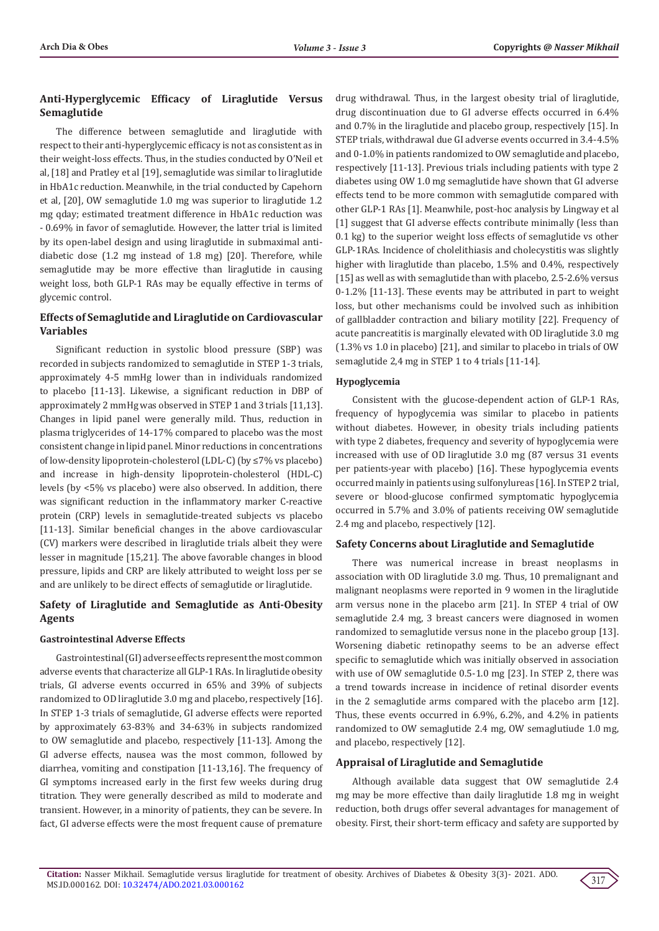# **Anti-Hyperglycemic Efficacy of Liraglutide Versus Semaglutide**

The difference between semaglutide and liraglutide with respect to their anti-hyperglycemic efficacy is not as consistent as in their weight-loss effects. Thus, in the studies conducted by O'Neil et al, [18] and Pratley et al [19], semaglutide was similar to liraglutide in HbA1c reduction. Meanwhile, in the trial conducted by Capehorn et al, [20], OW semaglutide 1.0 mg was superior to liraglutide 1.2 mg qday; estimated treatment difference in HbA1c reduction was - 0.69% in favor of semaglutide. However, the latter trial is limited by its open-label design and using liraglutide in submaximal antidiabetic dose (1.2 mg instead of 1.8 mg) [20]. Therefore, while semaglutide may be more effective than liraglutide in causing weight loss, both GLP-1 RAs may be equally effective in terms of glycemic control.

# **Effects of Semaglutide and Liraglutide on Cardiovascular Variables**

Significant reduction in systolic blood pressure (SBP) was recorded in subjects randomized to semaglutide in STEP 1-3 trials, approximately 4-5 mmHg lower than in individuals randomized to placebo [11-13]. Likewise, a significant reduction in DBP of approximately 2 mmHg was observed in STEP 1 and 3 trials [11,13]. Changes in lipid panel were generally mild. Thus, reduction in plasma triglycerides of 14-17% compared to placebo was the most consistent change in lipid panel. Minor reductions in concentrations of low-density lipoprotein-cholesterol (LDL-C) (by ≤7% vs placebo) and increase in high-density lipoprotein-cholesterol (HDL-C) levels (by <5% vs placebo) were also observed. In addition, there was significant reduction in the inflammatory marker C-reactive protein (CRP) levels in semaglutide-treated subjects vs placebo [11-13]. Similar beneficial changes in the above cardiovascular (CV) markers were described in liraglutide trials albeit they were lesser in magnitude [15,21]. The above favorable changes in blood pressure, lipids and CRP are likely attributed to weight loss per se and are unlikely to be direct effects of semaglutide or liraglutide.

# **Safety of Liraglutide and Semaglutide as Anti-Obesity Agents**

#### **Gastrointestinal Adverse Effects**

Gastrointestinal (GI) adverse effects represent the most common adverse events that characterize all GLP-1 RAs. In liraglutide obesity trials, GI adverse events occurred in 65% and 39% of subjects randomized to OD liraglutide 3.0 mg and placebo, respectively [16]. In STEP 1-3 trials of semaglutide, GI adverse effects were reported by approximately 63-83% and 34-63% in subjects randomized to OW semaglutide and placebo, respectively [11-13]. Among the GI adverse effects, nausea was the most common, followed by diarrhea, vomiting and constipation [11-13,16]. The frequency of GI symptoms increased early in the first few weeks during drug titration. They were generally described as mild to moderate and transient. However, in a minority of patients, they can be severe. In fact, GI adverse effects were the most frequent cause of premature

drug withdrawal. Thus, in the largest obesity trial of liraglutide, drug discontinuation due to GI adverse effects occurred in 6.4% and 0.7% in the liraglutide and placebo group, respectively [15]. In STEP trials, withdrawal due GI adverse events occurred in 3.4-4.5% and 0-1.0% in patients randomized to OW semaglutide and placebo, respectively [11-13]. Previous trials including patients with type 2 diabetes using OW 1.0 mg semaglutide have shown that GI adverse effects tend to be more common with semaglutide compared with other GLP-1 RAs [1]. Meanwhile, post-hoc analysis by Lingway et al [1] suggest that GI adverse effects contribute minimally (less than 0.1 kg) to the superior weight loss effects of semaglutide vs other GLP-1RAs. Incidence of cholelithiasis and cholecystitis was slightly higher with liraglutide than placebo, 1.5% and 0.4%, respectively [15] as well as with semaglutide than with placebo, 2.5-2.6% versus 0-1.2% [11-13]. These events may be attributed in part to weight loss, but other mechanisms could be involved such as inhibition of gallbladder contraction and biliary motility [22]. Frequency of acute pancreatitis is marginally elevated with OD liraglutide 3.0 mg (1.3% vs 1.0 in placebo) [21], and similar to placebo in trials of OW semaglutide 2,4 mg in STEP 1 to 4 trials [11-14].

## **Hypoglycemia**

Consistent with the glucose-dependent action of GLP-1 RAs, frequency of hypoglycemia was similar to placebo in patients without diabetes. However, in obesity trials including patients with type 2 diabetes, frequency and severity of hypoglycemia were increased with use of OD liraglutide 3.0 mg (87 versus 31 events per patients-year with placebo) [16]. These hypoglycemia events occurred mainly in patients using sulfonylureas [16]. In STEP 2 trial, severe or blood-glucose confirmed symptomatic hypoglycemia occurred in 5.7% and 3.0% of patients receiving OW semaglutide 2.4 mg and placebo, respectively [12].

## **Safety Concerns about Liraglutide and Semaglutide**

There was numerical increase in breast neoplasms in association with OD liraglutide 3.0 mg. Thus, 10 premalignant and malignant neoplasms were reported in 9 women in the liraglutide arm versus none in the placebo arm [21]. In STEP 4 trial of OW semaglutide 2.4 mg, 3 breast cancers were diagnosed in women randomized to semaglutide versus none in the placebo group [13]. Worsening diabetic retinopathy seems to be an adverse effect specific to semaglutide which was initially observed in association with use of OW semaglutide 0.5-1.0 mg [23]. In STEP 2, there was a trend towards increase in incidence of retinal disorder events in the 2 semaglutide arms compared with the placebo arm [12]. Thus, these events occurred in 6.9%, 6.2%, and 4.2% in patients randomized to OW semaglutide 2.4 mg, OW semaglutiude 1.0 mg, and placebo, respectively [12].

## **Appraisal of Liraglutide and Semaglutide**

Although available data suggest that OW semaglutide 2.4 mg may be more effective than daily liraglutide 1.8 mg in weight reduction, both drugs offer several advantages for management of obesity. First, their short-term efficacy and safety are supported by

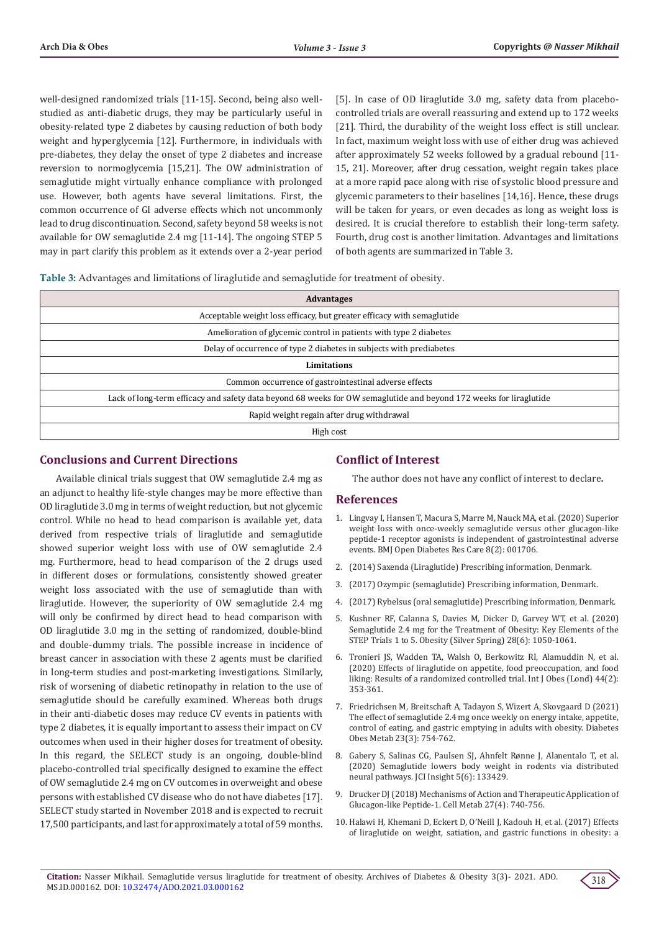well-designed randomized trials [11-15]. Second, being also wellstudied as anti-diabetic drugs, they may be particularly useful in obesity-related type 2 diabetes by causing reduction of both body weight and hyperglycemia [12]. Furthermore, in individuals with pre-diabetes, they delay the onset of type 2 diabetes and increase reversion to normoglycemia [15,21]. The OW administration of semaglutide might virtually enhance compliance with prolonged use. However, both agents have several limitations. First, the common occurrence of GI adverse effects which not uncommonly lead to drug discontinuation. Second, safety beyond 58 weeks is not available for OW semaglutide 2.4 mg [11-14]. The ongoing STEP 5 may in part clarify this problem as it extends over a 2-year period

[5]. In case of OD liraglutide 3.0 mg, safety data from placebocontrolled trials are overall reassuring and extend up to 172 weeks [21]. Third, the durability of the weight loss effect is still unclear. In fact, maximum weight loss with use of either drug was achieved after approximately 52 weeks followed by a gradual rebound [11- 15, 21]. Moreover, after drug cessation, weight regain takes place at a more rapid pace along with rise of systolic blood pressure and glycemic parameters to their baselines [14,16]. Hence, these drugs will be taken for years, or even decades as long as weight loss is desired. It is crucial therefore to establish their long-term safety. Fourth, drug cost is another limitation. Advantages and limitations of both agents are summarized in Table 3.

**Table 3:** Advantages and limitations of liraglutide and semaglutide for treatment of obesity.

| <b>Advantages</b>                                                                                                  |  |  |
|--------------------------------------------------------------------------------------------------------------------|--|--|
| Acceptable weight loss efficacy, but greater efficacy with semaglutide                                             |  |  |
| Amelioration of glycemic control in patients with type 2 diabetes                                                  |  |  |
| Delay of occurrence of type 2 diabetes in subjects with prediabetes                                                |  |  |
| <b>Limitations</b>                                                                                                 |  |  |
| Common occurrence of gastrointestinal adverse effects                                                              |  |  |
| Lack of long-term efficacy and safety data beyond 68 weeks for OW semaglutide and beyond 172 weeks for liraglutide |  |  |
| Rapid weight regain after drug withdrawal                                                                          |  |  |
| High cost                                                                                                          |  |  |

# **Conclusions and Current Directions**

**Conflict of Interest**

Available clinical trials suggest that OW semaglutide 2.4 mg as an adjunct to healthy life-style changes may be more effective than OD liraglutide 3.0 mg in terms of weight reduction, but not glycemic control. While no head to head comparison is available yet, data derived from respective trials of liraglutide and semaglutide showed superior weight loss with use of OW semaglutide 2.4 mg. Furthermore, head to head comparison of the 2 drugs used in different doses or formulations, consistently showed greater weight loss associated with the use of semaglutide than with liraglutide. However, the superiority of OW semaglutide 2.4 mg will only be confirmed by direct head to head comparison with OD liraglutide 3.0 mg in the setting of randomized, double-blind and double-dummy trials. The possible increase in incidence of breast cancer in association with these 2 agents must be clarified in long-term studies and post-marketing investigations. Similarly, risk of worsening of diabetic retinopathy in relation to the use of semaglutide should be carefully examined. Whereas both drugs in their anti-diabetic doses may reduce CV events in patients with type 2 diabetes, it is equally important to assess their impact on CV outcomes when used in their higher doses for treatment of obesity. In this regard, the SELECT study is an ongoing, double-blind placebo-controlled trial specifically designed to examine the effect of OW semaglutide 2.4 mg on CV outcomes in overweight and obese persons with established CV disease who do not have diabetes [17]. SELECT study started in November 2018 and is expected to recruit 17,500 participants, and last for approximately a total of 59 months.

The author does not have any conflict of interest to declare**.**

# **References**

- 1. [Lingvay I, Hansen T, Macura S, Marre M, Nauck MA, et al. \(2020\) Superior](https://drc.bmj.com/content/8/2/e001706) [weight loss with once-weekly semaglutide versus other glucagon-like](https://drc.bmj.com/content/8/2/e001706) [peptide-1 receptor agonists is independent of gastrointestinal adverse](https://drc.bmj.com/content/8/2/e001706) [events. BMJ Open Diabetes Res Care 8\(2\): 001706.](https://drc.bmj.com/content/8/2/e001706)
- 2. (2014) Saxenda (Liraglutide) Prescribing information, Denmark.
- 3. (2017) Ozympic (semaglutide) Prescribing information, Denmark.
- 4. (2017) Rybelsus (oral semaglutide) Prescribing information, Denmark.
- 5. [Kushner RF, Calanna S, Davies M, Dicker D, Garvey WT, et al. \(2020\)](https://pubmed.ncbi.nlm.nih.gov/32441473/) [Semaglutide 2.4 mg for the Treatment of Obesity: Key Elements of the](https://pubmed.ncbi.nlm.nih.gov/32441473/) [STEP Trials 1 to 5. Obesity \(Silver Spring\) 28\(6\): 1050-1061.](https://pubmed.ncbi.nlm.nih.gov/32441473/)
- 6. [Tronieri JS, Wadden TA, Walsh O, Berkowitz RI, Alamuddin N, et al.](https://pubmed.ncbi.nlm.nih.gov/30926955/) [\(2020\) Effects of liraglutide on appetite, food preoccupation, and food](https://pubmed.ncbi.nlm.nih.gov/30926955/) [liking: Results of a randomized controlled trial. Int J Obes \(Lond\) 44\(2\):](https://pubmed.ncbi.nlm.nih.gov/30926955/) [353-361.](https://pubmed.ncbi.nlm.nih.gov/30926955/)
- 7. [Friedrichsen M, Breitschaft A, Tadayon S, Wizert A, Skovgaard D \(2021\)](https://pubmed.ncbi.nlm.nih.gov/33269530/) [The effect of semaglutide 2.4 mg once weekly on energy intake, appetite,](https://pubmed.ncbi.nlm.nih.gov/33269530/) [control of eating, and gastric emptying in adults with obesity. Diabetes](https://pubmed.ncbi.nlm.nih.gov/33269530/) [Obes Metab 23\(3\): 754-762.](https://pubmed.ncbi.nlm.nih.gov/33269530/)
- 8. Gabery S, Salinas CG, Paulsen SJ, Ahnfelt Rønne J, Alanentalo T, et al. (2020) Semaglutide lowers body weight in rodents via distributed neural pathways. JCI Insight 5(6): 133429.
- 9. [Drucker DJ \(2018\) Mechanisms of Action and Therapeutic Application of](https://pubmed.ncbi.nlm.nih.gov/29617641/) [Glucagon-like Peptide-1. Cell Metab 27\(4\): 740-756.](https://pubmed.ncbi.nlm.nih.gov/29617641/)
- 10. [Halawi H, Khemani D, Eckert D, O'Neill J, Kadouh H, et al. \(2017\) Effects](https://pubmed.ncbi.nlm.nih.gov/28958851/) [of liraglutide on weight, satiation, and gastric functions in obesity: a](https://pubmed.ncbi.nlm.nih.gov/28958851/)